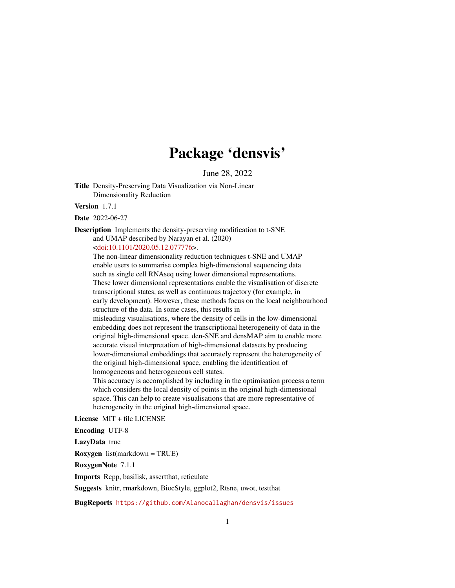# Package 'densvis'

June 28, 2022

<span id="page-0-0"></span>Title Density-Preserving Data Visualization via Non-Linear Dimensionality Reduction

Version 1.7.1

Date 2022-06-27

Description Implements the density-preserving modification to t-SNE and UMAP described by Narayan et al. (2020)

[<doi:10.1101/2020.05.12.077776>](https://doi.org/10.1101/2020.05.12.077776).

The non-linear dimensionality reduction techniques t-SNE and UMAP enable users to summarise complex high-dimensional sequencing data such as single cell RNAseq using lower dimensional representations. These lower dimensional representations enable the visualisation of discrete transcriptional states, as well as continuous trajectory (for example, in early development). However, these methods focus on the local neighbourhood structure of the data. In some cases, this results in misleading visualisations, where the density of cells in the low-dimensional

embedding does not represent the transcriptional heterogeneity of data in the original high-dimensional space. den-SNE and densMAP aim to enable more accurate visual interpretation of high-dimensional datasets by producing lower-dimensional embeddings that accurately represent the heterogeneity of the original high-dimensional space, enabling the identification of homogeneous and heterogeneous cell states.

This accuracy is accomplished by including in the optimisation process a term which considers the local density of points in the original high-dimensional space. This can help to create visualisations that are more representative of heterogeneity in the original high-dimensional space.

License MIT + file LICENSE

Encoding UTF-8

LazyData true

Roxygen list(markdown = TRUE)

RoxygenNote 7.1.1

Imports Rcpp, basilisk, assertthat, reticulate

Suggests knitr, rmarkdown, BiocStyle, ggplot2, Rtsne, uwot, testthat

BugReports <https://github.com/Alanocallaghan/densvis/issues>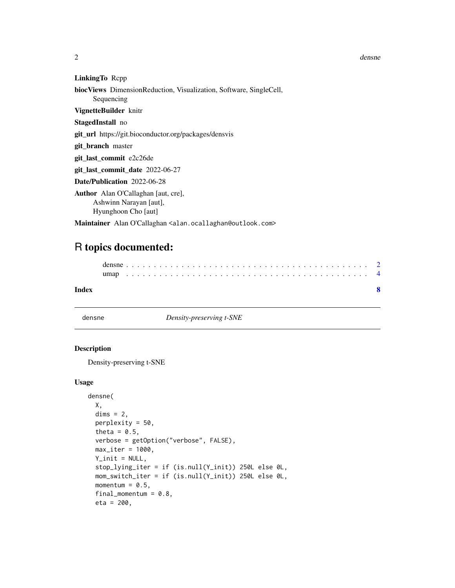<span id="page-1-0"></span>2 densne

LinkingTo Rcpp

```
biocViews DimensionReduction, Visualization, Software, SingleCell,
```
Sequencing

#### VignetteBuilder knitr

StagedInstall no

git\_url https://git.bioconductor.org/packages/densvis

git\_branch master

git\_last\_commit e2c26de

git\_last\_commit\_date 2022-06-27

Date/Publication 2022-06-28

Author Alan O'Callaghan [aut, cre], Ashwinn Narayan [aut], Hyunghoon Cho [aut]

Maintainer Alan O'Callaghan <alan.ocallaghan@outlook.com>

## R topics documented:

| Index |  |  |  |  |  |  |  |  |  |  |  |  |  |  |  |  |  |  |  |  |  |  |  |  |
|-------|--|--|--|--|--|--|--|--|--|--|--|--|--|--|--|--|--|--|--|--|--|--|--|--|
|       |  |  |  |  |  |  |  |  |  |  |  |  |  |  |  |  |  |  |  |  |  |  |  |  |
|       |  |  |  |  |  |  |  |  |  |  |  |  |  |  |  |  |  |  |  |  |  |  |  |  |

densne *Density-preserving t-SNE*

#### Description

Density-preserving t-SNE

#### Usage

```
densne(
  X,
  dims = 2,
 perplexity = 50,
  theta = 0.5,
  verbose = getOption("verbose", FALSE),
 max\_iter = 1000,
 Y_{init} = NULL,
  stop_lying_iter = if (is.null(Y_init)) 250L else 0L,
 mom_switch_iter = if (is.null(Y_init)) 250L else 0L,
 momentum = 0.5,
  final_momentum = 0.8,
  eta = 200,
```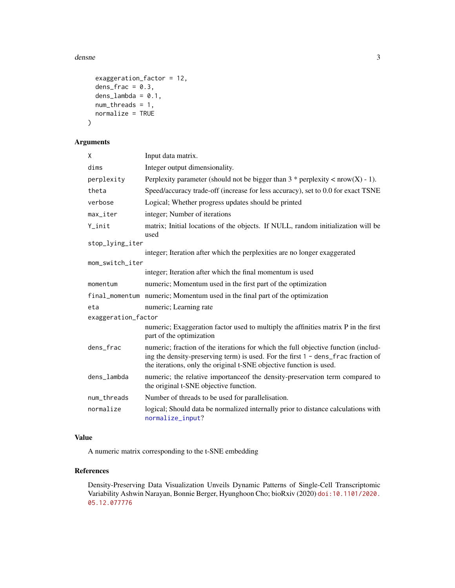#### <span id="page-2-0"></span>densne 3

```
exaggeration_factor = 12,
 dens_frac = 0.3,
 dens\_lambda = 0.1,
 num_threads = 1,
 normalize = TRUE
)
```
#### Arguments

| X                      | Input data matrix.                                                                                                                                                                                                                             |
|------------------------|------------------------------------------------------------------------------------------------------------------------------------------------------------------------------------------------------------------------------------------------|
| dims                   | Integer output dimensionality.                                                                                                                                                                                                                 |
| perplexity             | Perplexity parameter (should not be bigger than $3 *$ perplexity < nrow(X) - 1).                                                                                                                                                               |
| theta                  | Speed/accuracy trade-off (increase for less accuracy), set to 0.0 for exact TSNE                                                                                                                                                               |
| verbose                | Logical; Whether progress updates should be printed                                                                                                                                                                                            |
| $max$ <sub>_iter</sub> | integer; Number of iterations                                                                                                                                                                                                                  |
| Y_init                 | matrix; Initial locations of the objects. If NULL, random initialization will be<br>used                                                                                                                                                       |
| stop_lying_iter        |                                                                                                                                                                                                                                                |
|                        | integer; Iteration after which the perplexities are no longer exaggerated                                                                                                                                                                      |
| mom_switch_iter        |                                                                                                                                                                                                                                                |
|                        | integer; Iteration after which the final momentum is used                                                                                                                                                                                      |
| momentum               | numeric; Momentum used in the first part of the optimization                                                                                                                                                                                   |
|                        | final_momentum numeric; Momentum used in the final part of the optimization                                                                                                                                                                    |
| eta                    | numeric; Learning rate                                                                                                                                                                                                                         |
| exaggeration_factor    |                                                                                                                                                                                                                                                |
|                        | numeric; Exaggeration factor used to multiply the affinities matrix P in the first<br>part of the optimization                                                                                                                                 |
| dens_frac              | numeric; fraction of the iterations for which the full objective function (includ-<br>ing the density-preserving term) is used. For the first 1 - dens_frac fraction of<br>the iterations, only the original t-SNE objective function is used. |
| dens_lambda            | numeric; the relative importance of the density-preservation term compared to<br>the original t-SNE objective function.                                                                                                                        |
| num_threads            | Number of threads to be used for parallelisation.                                                                                                                                                                                              |
| normalize              | logical; Should data be normalized internally prior to distance calculations with<br>normalize_input?                                                                                                                                          |

#### Value

A numeric matrix corresponding to the t-SNE embedding

#### References

Density-Preserving Data Visualization Unveils Dynamic Patterns of Single-Cell Transcriptomic Variability Ashwin Narayan, Bonnie Berger, Hyunghoon Cho; bioRxiv (2020) [doi:10.1101/2020.](doi:10.1101/2020.05.12.077776) [05.12.077776](doi:10.1101/2020.05.12.077776)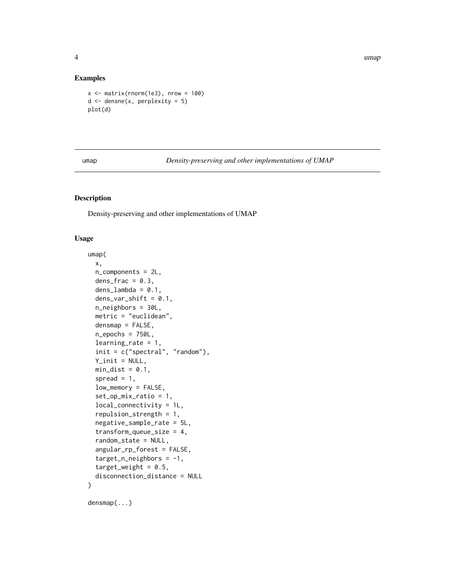4 umap and the contract of the contract of the contract of the contract of the contract of the contract of the contract of the contract of the contract of the contract of the contract of the contract of the contract of the

#### Examples

```
x \le - matrix(rnorm(1e3), nrow = 100)
d \leq densne(x, perplexity = 5)
plot(d)
```
umap *Density-preserving and other implementations of UMAP*

#### Description

Density-preserving and other implementations of UMAP

#### Usage

```
umap(
 x,
 n_components = 2L,
 dens_frac = 0.3,
  dens\_lambda = 0.1,
  dens_var_shift = 0.1,
 n_neighbors = 30L,
 metric = "euclidean",
  densmap = FALSE,
  n_epochs = 750L,
  learning_rate = 1,
  init = c("spectral", "random"),Y\_init = NULL,min\_dist = 0.1,
  spread = 1,
  low_memory = FALSE,
  set_op_mix_ratio = 1,
  local_connectivity = 1L,
  repulsion_strength = 1,
  negative_sample_rate = 5L,
  transform_queue_size = 4,
  random_state = NULL,
  angular_rp_forest = FALSE,
  target_n_neighbors = -1,
  target\_weight = 0.5,
  disconnection_distance = NULL
)
```
densmap(...)

<span id="page-3-0"></span>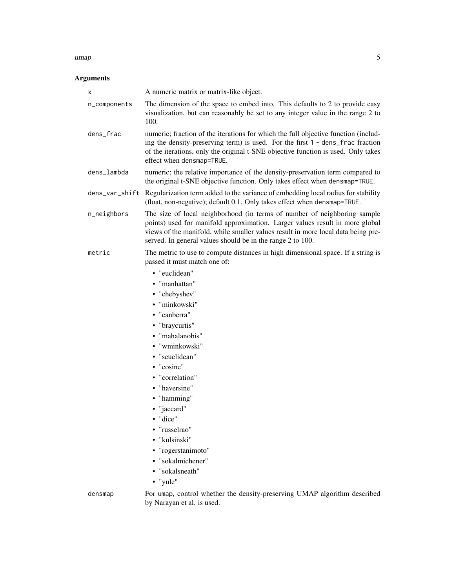#### umap 5

### Arguments

| х            | A numeric matrix or matrix-like object.                                                                                                                                                                                                                                                                    |
|--------------|------------------------------------------------------------------------------------------------------------------------------------------------------------------------------------------------------------------------------------------------------------------------------------------------------------|
| n_components | The dimension of the space to embed into. This defaults to 2 to provide easy<br>visualization, but can reasonably be set to any integer value in the range 2 to<br>100.                                                                                                                                    |
| dens_frac    | numeric; fraction of the iterations for which the full objective function (includ-<br>ing the density-preserving term) is used. For the first 1 - dens_frac fraction<br>of the iterations, only the original t-SNE objective function is used. Only takes<br>effect when densmap=TRUE.                     |
| dens_lambda  | numeric; the relative importance of the density-preservation term compared to<br>the original t-SNE objective function. Only takes effect when densmap=TRUE.                                                                                                                                               |
|              | dens_var_shift Regularization term added to the variance of embedding local radius for stability<br>(float, non-negative); default 0.1. Only takes effect when densmap=TRUE.                                                                                                                               |
| n_neighbors  | The size of local neighborhood (in terms of number of neighboring sample<br>points) used for manifold approximation. Larger values result in more global<br>views of the manifold, while smaller values result in more local data being pre-<br>served. In general values should be in the range 2 to 100. |
| metric       | The metric to use to compute distances in high dimensional space. If a string is<br>passed it must match one of:                                                                                                                                                                                           |
|              | • "euclidean"                                                                                                                                                                                                                                                                                              |
|              | • "manhattan"                                                                                                                                                                                                                                                                                              |
|              | • "chebyshev"                                                                                                                                                                                                                                                                                              |
|              | · "minkowski"                                                                                                                                                                                                                                                                                              |
|              | • "canberra"                                                                                                                                                                                                                                                                                               |
|              | • "braycurtis"                                                                                                                                                                                                                                                                                             |
|              | • "mahalanobis"                                                                                                                                                                                                                                                                                            |
|              | • "wminkowski"                                                                                                                                                                                                                                                                                             |
|              | · "seuclidean"                                                                                                                                                                                                                                                                                             |
|              | • "cosine"                                                                                                                                                                                                                                                                                                 |
|              | • "correlation"                                                                                                                                                                                                                                                                                            |
|              | • "haversine"                                                                                                                                                                                                                                                                                              |
|              | • "hamming"                                                                                                                                                                                                                                                                                                |
|              | • "jaccard"                                                                                                                                                                                                                                                                                                |
|              | $\bullet$ "dice"                                                                                                                                                                                                                                                                                           |
|              | • "russelrao"                                                                                                                                                                                                                                                                                              |
|              | · "kulsinski"                                                                                                                                                                                                                                                                                              |
|              | • "rogerstanimoto"                                                                                                                                                                                                                                                                                         |
|              | · "sokalmichener"                                                                                                                                                                                                                                                                                          |
|              | • "sokalsneath"                                                                                                                                                                                                                                                                                            |
|              | • "yule"                                                                                                                                                                                                                                                                                                   |
| densmap      | For umap, control whether the density-preserving UMAP algorithm described<br>by Narayan et al. is used.                                                                                                                                                                                                    |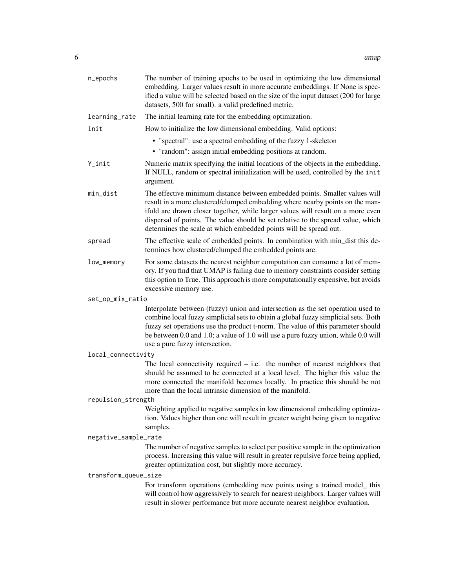| n_epochs             | The number of training epochs to be used in optimizing the low dimensional<br>embedding. Larger values result in more accurate embeddings. If None is spec-<br>ified a value will be selected based on the size of the input dataset (200 for large<br>datasets, 500 for small). a valid predefined metric.                                                                                             |
|----------------------|---------------------------------------------------------------------------------------------------------------------------------------------------------------------------------------------------------------------------------------------------------------------------------------------------------------------------------------------------------------------------------------------------------|
| learning_rate        | The initial learning rate for the embedding optimization.                                                                                                                                                                                                                                                                                                                                               |
| init                 | How to initialize the low dimensional embedding. Valid options:                                                                                                                                                                                                                                                                                                                                         |
|                      | • "spectral": use a spectral embedding of the fuzzy 1-skeleton                                                                                                                                                                                                                                                                                                                                          |
|                      | • "random": assign initial embedding positions at random.                                                                                                                                                                                                                                                                                                                                               |
| Y_init               | Numeric matrix specifying the initial locations of the objects in the embedding.<br>If NULL, random or spectral initialization will be used, controlled by the init<br>argument.                                                                                                                                                                                                                        |
| min_dist             | The effective minimum distance between embedded points. Smaller values will<br>result in a more clustered/clumped embedding where nearby points on the man-<br>ifold are drawn closer together, while larger values will result on a more even<br>dispersal of points. The value should be set relative to the spread value, which<br>determines the scale at which embedded points will be spread out. |
| spread               | The effective scale of embedded points. In combination with min_dist this de-<br>termines how clustered/clumped the embedded points are.                                                                                                                                                                                                                                                                |
| low_memory           | For some datasets the nearest neighbor computation can consume a lot of mem-<br>ory. If you find that UMAP is failing due to memory constraints consider setting<br>this option to True. This approach is more computationally expensive, but avoids<br>excessive memory use.                                                                                                                           |
| set_op_mix_ratio     |                                                                                                                                                                                                                                                                                                                                                                                                         |
|                      | Interpolate between (fuzzy) union and intersection as the set operation used to<br>combine local fuzzy simplicial sets to obtain a global fuzzy simplicial sets. Both<br>fuzzy set operations use the product t-norm. The value of this parameter should<br>be between 0.0 and 1.0; a value of 1.0 will use a pure fuzzy union, while 0.0 will<br>use a pure fuzzy intersection.                        |
| local_connectivity   |                                                                                                                                                                                                                                                                                                                                                                                                         |
|                      | The local connectivity required $-$ i.e. the number of nearest neighbors that<br>should be assumed to be connected at a local level. The higher this value the<br>more connected the manifold becomes locally. In practice this should be not<br>more than the local intrinsic dimension of the manifold.                                                                                               |
| repulsion_strength   |                                                                                                                                                                                                                                                                                                                                                                                                         |
|                      | Weighting applied to negative samples in low dimensional embedding optimiza-<br>tion. Values higher than one will result in greater weight being given to negative<br>samples.                                                                                                                                                                                                                          |
| negative_sample_rate |                                                                                                                                                                                                                                                                                                                                                                                                         |
|                      | The number of negative samples to select per positive sample in the optimization<br>process. Increasing this value will result in greater repulsive force being applied,<br>greater optimization cost, but slightly more accuracy.                                                                                                                                                                      |
| transform_queue_size |                                                                                                                                                                                                                                                                                                                                                                                                         |
|                      | For transform operations (embedding new points using a trained model_this<br>will control how aggressively to search for nearest neighbors. Larger values will<br>result in slower performance but more accurate nearest neighbor evaluation.                                                                                                                                                           |
|                      |                                                                                                                                                                                                                                                                                                                                                                                                         |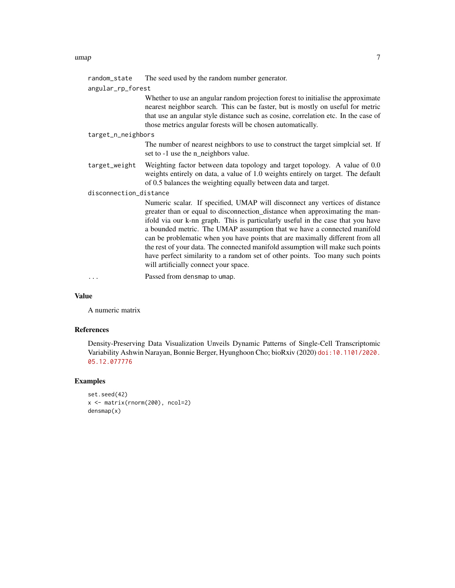#### umap 2008 and 2008 and 2008 and 2008 and 2008 and 2008 and 2008 and 2008 and 2008 and 2008 and 2008 and 2008 a

random\_state The seed used by the random number generator.

```
angular_rp_forest
```
Whether to use an angular random projection forest to initialise the approximate nearest neighbor search. This can be faster, but is mostly on useful for metric that use an angular style distance such as cosine, correlation etc. In the case of those metrics angular forests will be chosen automatically.

#### target\_n\_neighbors

The number of nearest neighbors to use to construct the target simplcial set. If set to -1 use the n\_neighbors value.

target\_weight Weighting factor between data topology and target topology. A value of 0.0 weights entirely on data, a value of 1.0 weights entirely on target. The default of 0.5 balances the weighting equally between data and target.

#### disconnection\_distance

Numeric scalar. If specified, UMAP will disconnect any vertices of distance greater than or equal to disconnection\_distance when approximating the manifold via our k-nn graph. This is particularly useful in the case that you have a bounded metric. The UMAP assumption that we have a connected manifold can be problematic when you have points that are maximally different from all the rest of your data. The connected manifold assumption will make such points have perfect similarity to a random set of other points. Too many such points will artificially connect your space.

... Passed from densmap to umap.

#### Value

A numeric matrix

#### References

Density-Preserving Data Visualization Unveils Dynamic Patterns of Single-Cell Transcriptomic Variability Ashwin Narayan, Bonnie Berger, Hyunghoon Cho; bioRxiv (2020) [doi:10.1101/2020.](doi:10.1101/2020.05.12.077776) [05.12.077776](doi:10.1101/2020.05.12.077776)

#### Examples

```
set.seed(42)
x <- matrix(rnorm(200), ncol=2)
densmap(x)
```